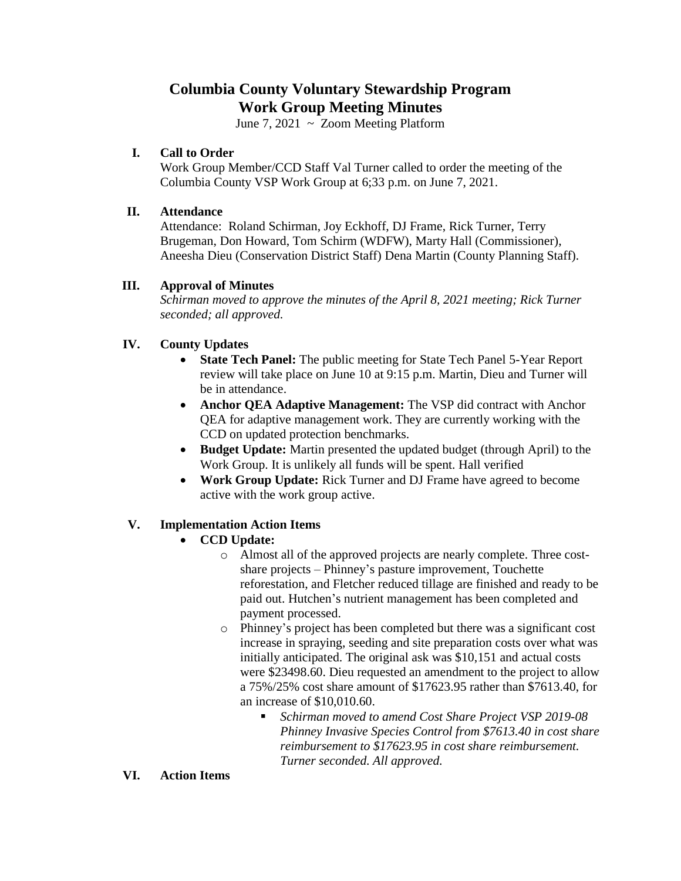# **Columbia County Voluntary Stewardship Program Work Group Meeting Minutes**

June 7, 2021  $\sim$  Zoom Meeting Platform

# **I. Call to Order**

Work Group Member/CCD Staff Val Turner called to order the meeting of the Columbia County VSP Work Group at 6;33 p.m. on June 7, 2021.

#### **II. Attendance**

Attendance: Roland Schirman, Joy Eckhoff, DJ Frame, Rick Turner, Terry Brugeman, Don Howard, Tom Schirm (WDFW), Marty Hall (Commissioner), Aneesha Dieu (Conservation District Staff) Dena Martin (County Planning Staff).

# **III. Approval of Minutes**

*Schirman moved to approve the minutes of the April 8, 2021 meeting; Rick Turner seconded; all approved.* 

# **IV. County Updates**

- **State Tech Panel:** The public meeting for State Tech Panel 5-Year Report review will take place on June 10 at 9:15 p.m. Martin, Dieu and Turner will be in attendance.
- **Anchor QEA Adaptive Management:** The VSP did contract with Anchor QEA for adaptive management work. They are currently working with the CCD on updated protection benchmarks.
- **Budget Update:** Martin presented the updated budget (through April) to the Work Group. It is unlikely all funds will be spent. Hall verified
- **Work Group Update:** Rick Turner and DJ Frame have agreed to become active with the work group active.

# **V. Implementation Action Items**

#### **CCD Update:**

- o Almost all of the approved projects are nearly complete. Three costshare projects – Phinney's pasture improvement, Touchette reforestation, and Fletcher reduced tillage are finished and ready to be paid out. Hutchen's nutrient management has been completed and payment processed.
- o Phinney's project has been completed but there was a significant cost increase in spraying, seeding and site preparation costs over what was initially anticipated. The original ask was \$10,151 and actual costs were \$23498.60. Dieu requested an amendment to the project to allow a 75%/25% cost share amount of \$17623.95 rather than \$7613.40, for an increase of \$10,010.60.
	- *Schirman moved to amend Cost Share Project VSP 2019-08 Phinney Invasive Species Control from \$7613.40 in cost share reimbursement to \$17623.95 in cost share reimbursement. Turner seconded. All approved.*

#### **VI. Action Items**